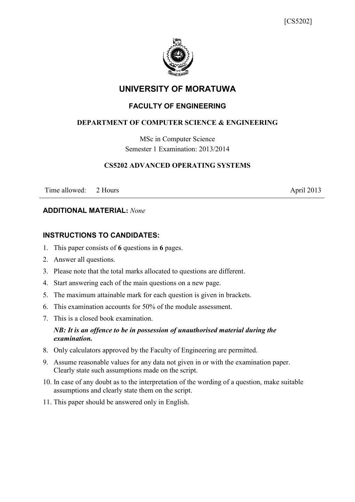

# **UNIVERSITY OF MORATUWA**

# **FACULTY OF ENGINEERING**

# **DEPARTMENT OF COMPUTER SCIENCE & ENGINEERING**

MSc in Computer Science Semester 1 Examination: 2013/2014

#### **CS5202 ADVANCED OPERATING SYSTEMS**

Time allowed: 2 Hours April 2013

#### **ADDITIONAL MATERIAL:** *None*

## **INSTRUCTIONS TO CANDIDATES:**

- 1. This paper consists of **6** questions in **6** pages.
- 2. Answer all questions.
- 3. Please note that the total marks allocated to questions are different.
- 4. Start answering each of the main questions on a new page.
- 5. The maximum attainable mark for each question is given in brackets.
- 6. This examination accounts for 50% of the module assessment.
- 7. This is a closed book examination.

## *NB: It is an offence to be in possession of unauthorised material during the examination.*

- 8. Only calculators approved by the Faculty of Engineering are permitted.
- 9. Assume reasonable values for any data not given in or with the examination paper. Clearly state such assumptions made on the script.
- 10. In case of any doubt as to the interpretation of the wording of a question, make suitable assumptions and clearly state them on the script.
- 11. This paper should be answered only in English.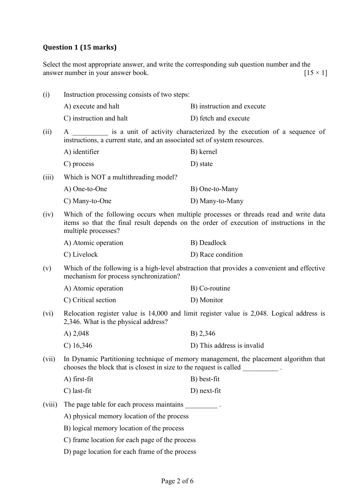# **Question 1 (15 marks)**

Select the most appropriate answer, and write the corresponding sub question number and the answer number in your answer book.  $[15 \times 1]$ 

| (i)    | Instruction processing consists of two steps:                                                                                                                                                          |                            |  |
|--------|--------------------------------------------------------------------------------------------------------------------------------------------------------------------------------------------------------|----------------------------|--|
|        | A) execute and halt                                                                                                                                                                                    | B) instruction and execute |  |
|        | C) instruction and halt                                                                                                                                                                                | D) fetch and execute       |  |
| (ii)   | is a unit of activity characterized by the execution of a sequence of<br>A<br>instructions, a current state, and an associated set of system resources.                                                |                            |  |
|        | A) identifier                                                                                                                                                                                          | B) kernel                  |  |
|        | C) process                                                                                                                                                                                             | D) state                   |  |
| (iii)  | Which is NOT a multithreading model?                                                                                                                                                                   |                            |  |
|        | A) One-to-One                                                                                                                                                                                          | B) One-to-Many             |  |
|        | C) Many-to-One                                                                                                                                                                                         | D) Many-to-Many            |  |
| (iv)   | Which of the following occurs when multiple processes or threads read and write data<br>items so that the final result depends on the order of execution of instructions in the<br>multiple processes? |                            |  |
|        | A) Atomic operation                                                                                                                                                                                    | B) Deadlock                |  |
|        | C) Livelock                                                                                                                                                                                            | D) Race condition          |  |
| (v)    | Which of the following is a high-level abstraction that provides a convenient and effective<br>mechanism for process synchronization?                                                                  |                            |  |
|        | A) Atomic operation                                                                                                                                                                                    | B) Co-routine              |  |
|        | C) Critical section                                                                                                                                                                                    | D) Monitor                 |  |
| (vi)   | Relocation register value is 14,000 and limit register value is 2,048. Logical address is<br>2,346. What is the physical address?                                                                      |                            |  |
|        | A) $2,048$                                                                                                                                                                                             | B) 2,346                   |  |
|        | $C)$ 16,346                                                                                                                                                                                            | D) This address is invalid |  |
| (vii)  | In Dynamic Partitioning technique of memory management, the placement algorithm that<br>chooses the block that is closest in size to the request is called                                             |                            |  |
|        | A) first-fit                                                                                                                                                                                           | B) best-fit                |  |
|        | C) last-fit                                                                                                                                                                                            | $D)$ next-fit              |  |
| (viii) | The page table for each process maintains .                                                                                                                                                            |                            |  |
|        | A) physical memory location of the process                                                                                                                                                             |                            |  |
|        | B) logical memory location of the process                                                                                                                                                              |                            |  |
|        | C) frame location for each page of the process                                                                                                                                                         |                            |  |
|        | D) page location for each frame of the process                                                                                                                                                         |                            |  |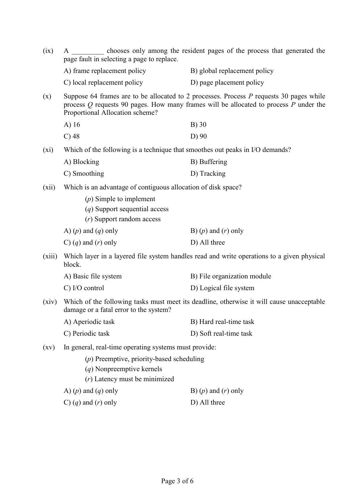| (ix)                                                                                                                                                                                                                             | chooses only among the resident pages of the process that generated the<br>page fault in selecting a page to replace. |                                                                                           |
|----------------------------------------------------------------------------------------------------------------------------------------------------------------------------------------------------------------------------------|-----------------------------------------------------------------------------------------------------------------------|-------------------------------------------------------------------------------------------|
|                                                                                                                                                                                                                                  | A) frame replacement policy                                                                                           | B) global replacement policy                                                              |
|                                                                                                                                                                                                                                  | C) local replacement policy                                                                                           | D) page placement policy                                                                  |
| Suppose 64 frames are to be allocated to 2 processes. Process $P$ requests 30 pages while<br>(x)<br>process $Q$ requests 90 pages. How many frames will be allocated to process $P$ under the<br>Proportional Allocation scheme? |                                                                                                                       |                                                                                           |
|                                                                                                                                                                                                                                  | $A)$ 16                                                                                                               | $B)$ 30                                                                                   |
|                                                                                                                                                                                                                                  | $C$ ) 48                                                                                                              | D) 90                                                                                     |
| $(x_i)$                                                                                                                                                                                                                          | Which of the following is a technique that smoothes out peaks in I/O demands?                                         |                                                                                           |
|                                                                                                                                                                                                                                  | A) Blocking                                                                                                           | B) Buffering                                                                              |
|                                                                                                                                                                                                                                  | C) Smoothing                                                                                                          | D) Tracking                                                                               |
| (xii)                                                                                                                                                                                                                            | Which is an advantage of contiguous allocation of disk space?                                                         |                                                                                           |
|                                                                                                                                                                                                                                  | $(p)$ Simple to implement<br>$(q)$ Support sequential access<br>$(r)$ Support random access                           |                                                                                           |
|                                                                                                                                                                                                                                  | A) $(p)$ and $(q)$ only                                                                                               | B) $(p)$ and $(r)$ only                                                                   |
|                                                                                                                                                                                                                                  | C) $(q)$ and $(r)$ only                                                                                               | D) All three                                                                              |
| (xiii)<br>Which layer in a layered file system handles read and write operations to a given physical<br>block.                                                                                                                   |                                                                                                                       |                                                                                           |
|                                                                                                                                                                                                                                  | A) Basic file system                                                                                                  | B) File organization module                                                               |
|                                                                                                                                                                                                                                  | $C$ ) I/O control                                                                                                     | D) Logical file system                                                                    |
| (xiv)                                                                                                                                                                                                                            | damage or a fatal error to the system?                                                                                | Which of the following tasks must meet its deadline, otherwise it will cause unacceptable |
|                                                                                                                                                                                                                                  | A) Aperiodic task                                                                                                     | B) Hard real-time task                                                                    |
|                                                                                                                                                                                                                                  | C) Periodic task                                                                                                      | D) Soft real-time task                                                                    |
| $\left( xy\right)$                                                                                                                                                                                                               | In general, real-time operating systems must provide:                                                                 |                                                                                           |
|                                                                                                                                                                                                                                  | $(p)$ Preemptive, priority-based scheduling<br>$(q)$ Nonpreemptive kernels<br>$(r)$ Latency must be minimized         |                                                                                           |
|                                                                                                                                                                                                                                  | A) $(p)$ and $(q)$ only                                                                                               | B) $(p)$ and $(r)$ only                                                                   |
|                                                                                                                                                                                                                                  | C) $(q)$ and $(r)$ only                                                                                               | D) All three                                                                              |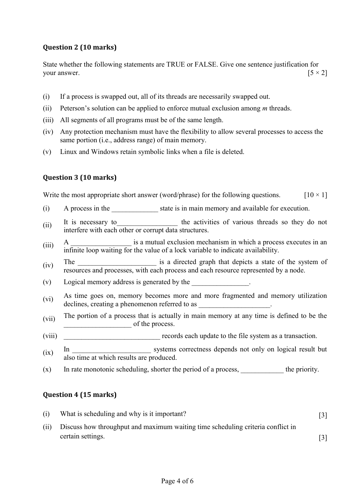# **Question 2 (10 marks)**

State whether the following statements are TRUE or FALSE. Give one sentence justification for your answer.  $[5 \times 2]$ 

- (i) If a process is swapped out, all of its threads are necessarily swapped out.
- (ii) Peterson's solution can be applied to enforce mutual exclusion among *m* threads.
- (iii) All segments of all programs must be of the same length.
- (iv) Any protection mechanism must have the flexibility to allow several processes to access the same portion (i.e., address range) of main memory.
- (v) Linux and Windows retain symbolic links when a file is deleted.

# **Question 3 (10 marks)**

Write the most appropriate short answer (word/phrase) for the following questions.  $[10 \times 1]$ 

- (i) A process in the state is in main memory and available for execution.
- (ii) It is necessary to the activities of various threads so they do not interfere with each other or corrupt data structures.
- $\lim_{x \to a} A$  is a mutual exclusion mechanism in which a process executes in an infinite loop waiting for the value of a lock variable to indicate availability.
- (iv) The \_\_\_\_\_\_\_\_\_\_\_\_\_\_\_\_\_\_\_\_\_\_ is a directed graph that depicts a state of the system of resources and processes, with each process and each resource represented by a node.
- (v) Logical memory address is generated by the \_\_\_\_\_\_\_\_\_\_\_\_\_\_\_\_.
- (vi) As time goes on, memory becomes more and more fragmented and memory utilization declines, creating a phenomenon referred to as \_\_\_\_\_\_\_\_\_\_\_\_\_\_\_\_\_\_\_\_\_\_\_\_\_\_\_\_\_\_\_\_\_
- (vii) The portion of a process that is actually in main memory at any time is defined to be the  $\overline{\phantom{a}}$  of the process.
- (viii) \_\_\_\_\_\_\_\_\_\_\_\_\_\_\_\_\_\_\_\_\_\_\_\_\_\_\_ records each update to the file system as a transaction.
- (ix) In \_\_\_\_\_\_\_\_\_\_\_\_\_\_\_\_\_\_\_\_\_\_ systems correctness depends not only on logical result but also time at which results are produced.
- $(x)$  In rate monotonic scheduling, shorter the period of a process, the priority.

### **Question 4 (15 marks)**

| (i)  | What is scheduling and why is it important?                                     |  |
|------|---------------------------------------------------------------------------------|--|
| (ii) | Discuss how throughput and maximum waiting time scheduling criteria conflict in |  |
|      | certain settings.                                                               |  |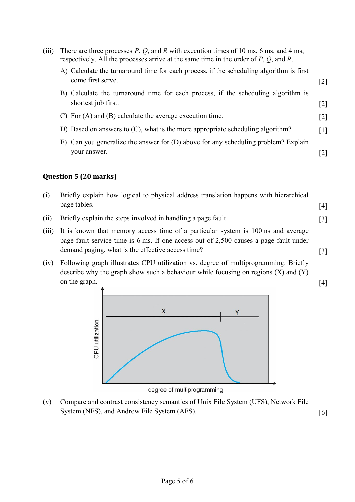| (iii) | There are three processes $P$ , $Q$ , and $R$ with execution times of 10 ms, 6 ms, and 4 ms,<br>respectively. All the processes arrive at the same time in the order of $P$ , $Q$ , and $R$ . |                   |
|-------|-----------------------------------------------------------------------------------------------------------------------------------------------------------------------------------------------|-------------------|
|       | A) Calculate the turnaround time for each process, if the scheduling algorithm is first<br>come first serve.                                                                                  | $\lceil 2 \rceil$ |
|       | B) Calculate the turnaround time for each process, if the scheduling algorithm is<br>shortest job first.                                                                                      | [2]               |
|       | C) For $(A)$ and $(B)$ calculate the average execution time.                                                                                                                                  | $\lceil 2 \rceil$ |
|       | D) Based on answers to (C), what is the more appropriate scheduling algorithm?                                                                                                                | $\lceil 1 \rceil$ |
|       | E) Can you generalize the answer for (D) above for any scheduling problem? Explain<br>your answer.                                                                                            |                   |

# **Question 5 (20 marks)**

| (i) | Briefly explain how logical to physical address translation happens with hierarchical |     |
|-----|---------------------------------------------------------------------------------------|-----|
|     | page tables.                                                                          | [4] |

- (ii) Briefly explain the steps involved in handling a page fault. [3]
- (iii) It is known that memory access time of a particular system is 100 ns and average page-fault service time is 6 ms. If one access out of 2,500 causes a page fault under demand paging, what is the effective access time? [3]
- (iv) Following graph illustrates CPU utilization vs. degree of multiprogramming. Briefly describe why the graph show such a behaviour while focusing on regions (X) and (Y) on the graph.  $[4]$



degree of multiprogramming

(v) Compare and contrast consistency semantics of Unix File System (UFS), Network File System (NFS), and Andrew File System (AFS). [6]